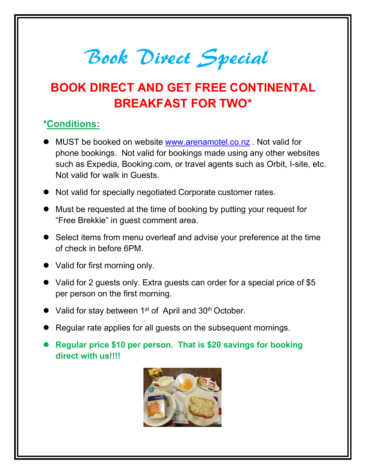**Book Direct Special<br>BOOK DIRECT AND GET FREE CONTINENTAL** 

## Book Direct Special<br>BOOK DIRECT AND GET FREE CONTINENTAL<br>BREAKFAST FOR TWO\*  $\begin{array}{l} \mathcal{B} \mathcal{B} \end{array}$ <br>
BREAKFAST FOR TWO\*<br>
BREAKFAST FOR TWO\*<br>
BREAKFAST FOR TWO\*

## \*Conditions:

- **Book Divect Special**<br>
BOOK DIRECT AND GET FREE CONTINENTAL<br>
BREAKFAST FOR TWO\*<br>
\*Conditions:<br>
 MUST be booked on website www.arenamotel.co.nz . Not valid for<br>
phone bookings. Not valid for bookings made using any other w **Book Divect Special**<br> **BOOK DIRECT AND GET FREE CONTINENTAL**<br> **BREAKFAST FOR TWO\***<br> **DOOK DIRECT AND GET FREE CONTINENTAL**<br> **BREAKFAST FOR TWO\***<br> **DOOK** DIRECT AND TO DOOKING TO TWO\*<br> **DOOK** DIST be booked on website www. **Book Divect Special**<br> **SOOK DIRECT AND GET FREE CONTINENTAL**<br>
BREAKFAST FOR TWO\*<br> **DOMENTAL BREAKFAST FOR TWO\***<br> **DOMENTAL**<br>
BREAKFAST FOR TWO\*<br> **DOMENTAL AS Expedia, Booking.com, or travel agents such as Orbit, I-sit Book Divect Special**<br>
SOOK DIRECT AND GET FREE CONTINENTAL<br>
BREAKFAST FOR TWO\*<br>
SOOK DIRECT AND GET FREE CONTINENTAL<br>
MUST be booked on website www.arenamotel.co.nz. Not valid for<br>
phone bookings. Not valid for bookings m **Book Direct Special**<br>
BOOK DIRECT AND GET FREE CONTINENTAL<br> **BREAKFAST FOR TWO**\*<br> **Conditions:**<br>
• MUST be booked on website <u>www.arenamotel.co.nz</u> . Not valid for<br>
phone bookings. Not valid for bookings made using any ot **BOOK DIRECT AND GET FREE CONTINENTAL**<br>
BREAKFAST FOR TWO\*<br>
\*Conditions:<br>
• MUST be booked on website www.arenamotel.co.nz . Not valid for<br>
phone bookings. Not valid for bookings made using any other websites<br>
such as Expe **SOOK DIRECT AND GET FREE CONTINENTAL**<br> **BREAKFAST FOR TWO\***<br> **SOURCE TOR TWO\***<br> **SOURCE TOR TWO\***<br> **SOURCE TOR TWO\***<br> **SOURCE TOR TWO\***<br> **SOURCE TOR TWO\***<br> **SOURCE TOR TWO\***<br> **SOURCE TOR TWO\***<br> **SOURCE TOR TWO\***<br> **SOURCE** SURIMENT AND GET FREE CONTINENTAL<br>
SELECT AND GET FREE CONTINENTAL<br>
\*Conditions:<br>
■ MUST be booked on website <u>www.arenamotel.co.nz</u> . Not valid for<br>
phone bookings. Not valid for bookings made using any other websites<br>
s **BREAKFAST FOR TWO\***<br> **ONDEXECT SOME TO A THEFT COLLET AND A THE SET COLLET A THE SUPPORT ON SUPPORT SUPPORT SUPPORT SUPPORT SUPPORT<br>
SUPPORT SUPPORT SUPPORT SUPPORT SUPPORT SUPPORT SUPPORT AND NOT VARIA IN GUESTS.<br>
Not va** Conditions:<br>
■ MUST be booked on website www.arenamotel.co.nz</u> . Not valid for<br>
phone bookings. Not valid for bookings made using any other websites<br>
such as Expedia, Booking.com, or travel agents such as Orbit, I-site, ■ MUST be booked on website <u>www.arenamotel.co.nz</u>. Not valid for<br>
phone bookings. Not valid for bookings made using any other websites<br>
such as Expedia, Booking.com, or travel agents such as Orbit, l-site, etc.<br>
Not vali MUST be booked on website <u>www.arenamotel.co.nz</u>. Not valid for<br>phone bookings. Not valid for bookings made using any other websites<br>such as Expedia, Booking.com, or travel agents such as Orbit, I-site, etc.<br>Not valid for such as Expedia, Booking.com, or travel agents such as Orbit, I-site, etc.<br>
Not valid for walk in Guests.<br>
• Not valid for specially negotiated Corporate customer rates.<br>
• Must be requested at the time of booking by putti
- 
- 
- 
- 
- Not valid for walk in Guests.<br>
 Not valid for specially negotiated Corporate customer rates.<br>
 Must be requested at the time of booking by putting your request for<br>
"Free Brekkie" in guest comment area.<br>
 Select items <ul>\n<li> Not valid for specially negotiated Corporate customer rates.</li>\n<li> Must be requested at the time of booking by putting your request for "Free Berkeley" in guest comment area.</li>\n<li> Select items from menu overhead and advise your preference at the time of check in before 6PM.</li>\n<li> Valid for first morning only.</li>\n<li> Valid for 2 guests only. Extra guests can order for a special price of \$5 per person on the first morning.</li>\n<li> Valid for stay between 1<sup>st</sup> of April and 30<sup>th</sup> October.</li>\n<li> Regular rate applies for all guests on the subsequent morning.</li>\n<li> Regular price \$10 per person. That is \$20 savings for boosting direct with us!]!</li>\n</ul>\n Must be requested at the time of booking by putting your request<br>
"Free Brekkie" in guest comment area.<br>
Select items from menu overleaf and advise your preference at the<br>
of check in before 6PM.<br>
Valid for first morning o
- 
- 
-